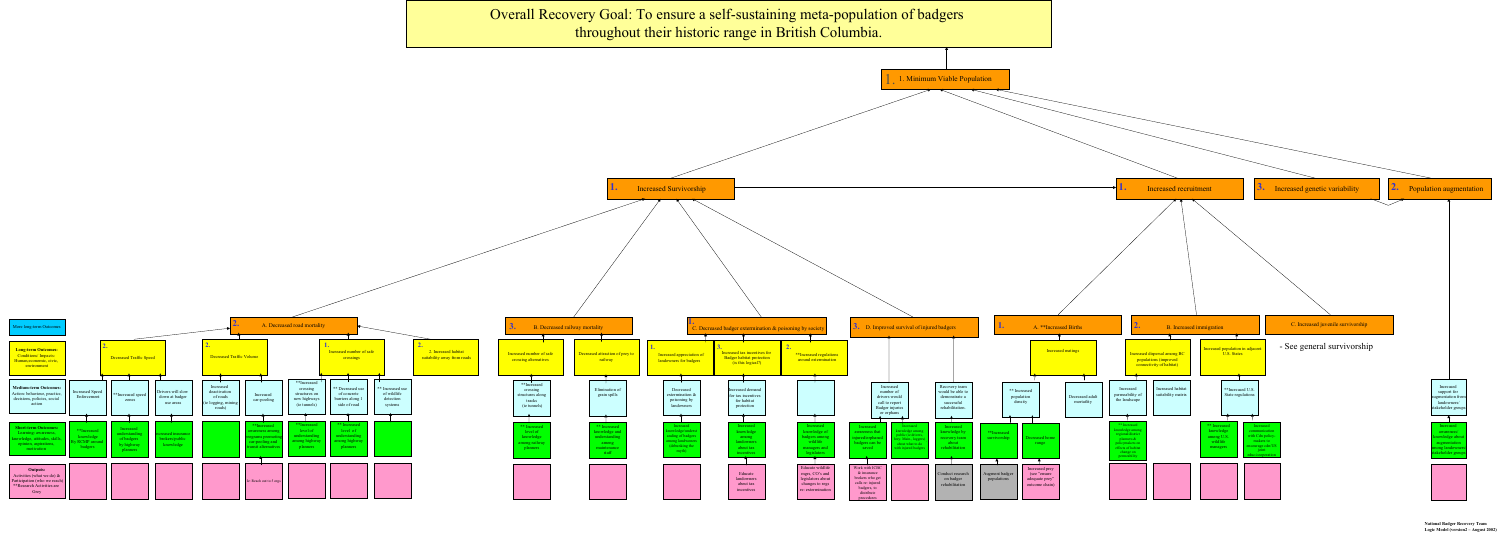